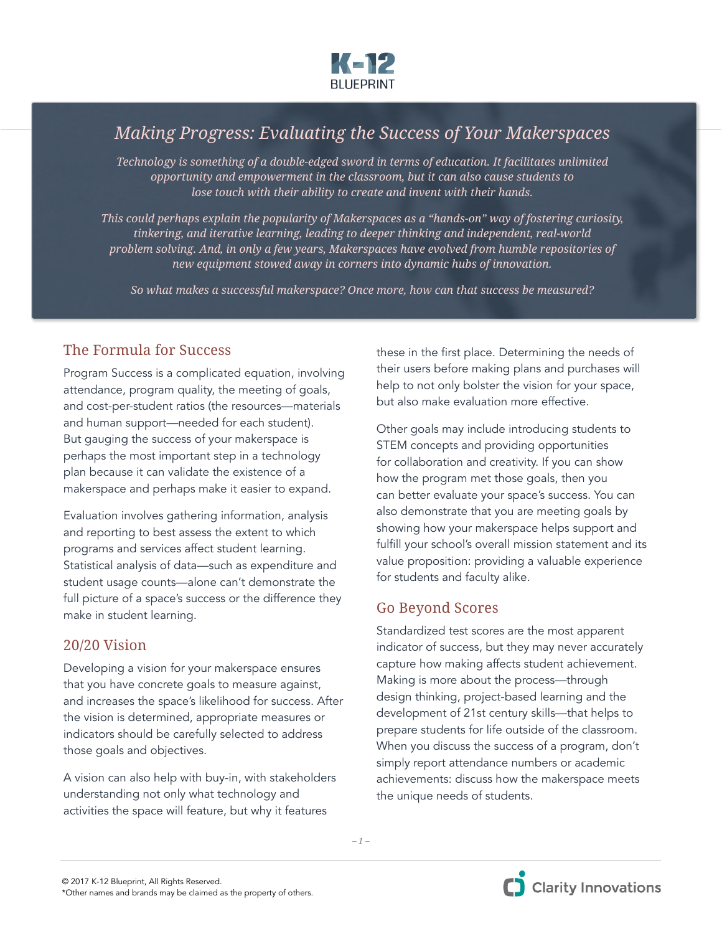

# *Making Progress: Evaluating the Success of Your Makerspaces*

*Technology is something of a double-edged sword in terms of education. It facilitates unlimited opportunity and empowerment in the classroom, but it can also cause students to lose touch with their ability to create and invent with their hands.*

*This could perhaps explain the popularity of Makerspaces as a "hands-on" way of fostering curiosity, tinkering, and iterative learning, leading to deeper thinking and independent, real-world problem solving. And, in only a few years, Makerspaces have evolved from humble repositories of new equipment stowed away in corners into dynamic hubs of innovation.* 

*So what makes a successful makerspace? Once more, how can that success be measured?* 

## The Formula for Success

Program Success is a complicated equation, involving attendance, program quality, the meeting of goals, and cost-per-student ratios (the resources—materials and human support—needed for each student). But gauging the success of your makerspace is perhaps the most important step in a technology plan because it can validate the existence of a makerspace and perhaps make it easier to expand.

Evaluation involves gathering information, analysis and reporting to best assess the extent to which programs and services affect student learning. Statistical analysis of data—such as expenditure and student usage counts—alone can't demonstrate the full picture of a space's success or the difference they make in student learning.

#### 20/20 Vision

Developing a vision for your makerspace ensures that you have concrete goals to measure against, and increases the space's likelihood for success. After the vision is determined, appropriate measures or indicators should be carefully selected to address those goals and objectives.

A vision can also help with buy-in, with stakeholders understanding not only what technology and activities the space will feature, but why it features

these in the first place. Determining the needs of their users before making plans and purchases will help to not only bolster the vision for your space, but also make evaluation more effective.

Other goals may include introducing students to STEM concepts and providing opportunities for collaboration and creativity. If you can show how the program met those goals, then you can better evaluate your space's success. You can also demonstrate that you are meeting goals by showing how your makerspace helps support and fulfill your school's overall mission statement and its value proposition: providing a valuable experience for students and faculty alike.

# Go Beyond Scores

Standardized test scores are the most apparent indicator of success, but they may never accurately capture how making affects student achievement. Making is more about the process—through design thinking, project-based learning and the development of 21st century skills—that helps to prepare students for life outside of the classroom. When you discuss the success of a program, don't simply report attendance numbers or academic achievements: discuss how the makerspace meets the unique needs of students.

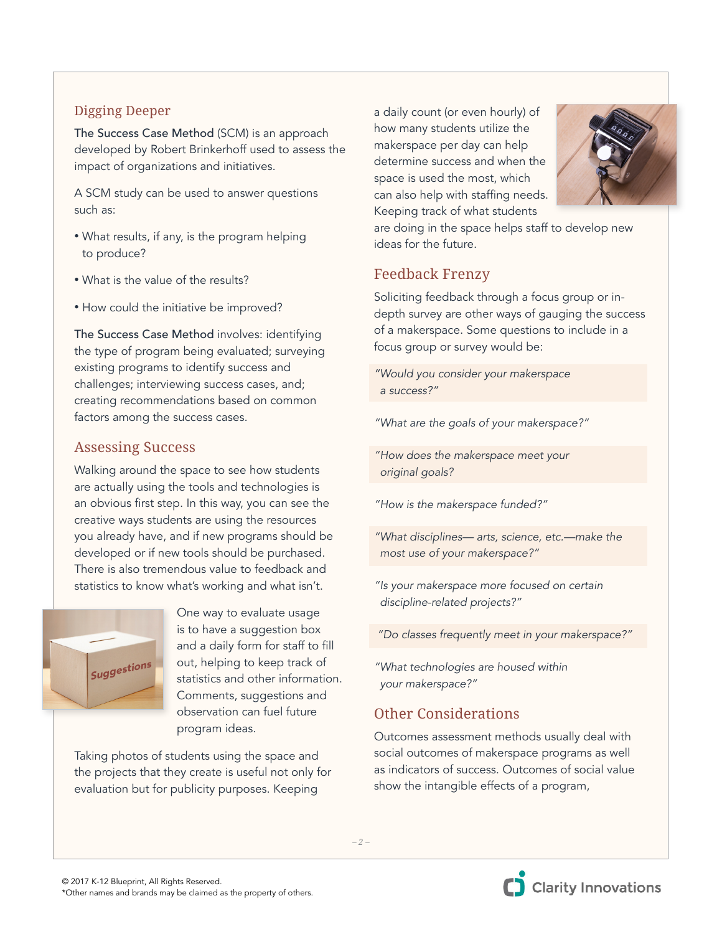## Digging Deeper

The Success Case Method (SCM) is an approach developed by Robert Brinkerhoff used to assess the impact of organizations and initiatives.

A SCM study can be used to answer questions such as:

- What results, if any, is the program helping to produce?
- What is the value of the results?
- How could the initiative be improved?

The Success Case Method involves: identifying the type of program being evaluated; surveying existing programs to identify success and challenges; interviewing success cases, and; creating recommendations based on common factors among the success cases.

#### Assessing Success

Walking around the space to see how students are actually using the tools and technologies is an obvious first step. In this way, you can see the creative ways students are using the resources you already have, and if new programs should be developed or if new tools should be purchased. There is also tremendous value to feedback and statistics to know what's working and what isn't.



 One way to evaluate usage is to have a suggestion box and a daily form for staff to fill out, helping to keep track of statistics and other information. Comments, suggestions and observation can fuel future program ideas.

Taking photos of students using the space and the projects that they create is useful not only for evaluation but for publicity purposes. Keeping

a daily count (or even hourly) of how many students utilize the makerspace per day can help determine success and when the space is used the most, which can also help with staffing needs. Keeping track of what students



are doing in the space helps staff to develop new ideas for the future.

# Feedback Frenzy

Soliciting feedback through a focus group or indepth survey are other ways of gauging the success of a makerspace. Some questions to include in a focus group or survey would be:

*"Would you consider your makerspace a success?"* 

*"What are the goals of your makerspace?"*

*"How does the makerspace meet your original goals?*

*"How is the makerspace funded?"*

*"What disciplines— arts, science, etc.—make the most use of your makerspace?"* 

*"Is your makerspace more focused on certain discipline-related projects?"*

 *"Do classes frequently meet in your makerspace?"* 

*"What technologies are housed within your makerspace?"*

# Other Considerations

Outcomes assessment methods usually deal with social outcomes of makerspace programs as well as indicators of success. Outcomes of social value show the intangible effects of a program,